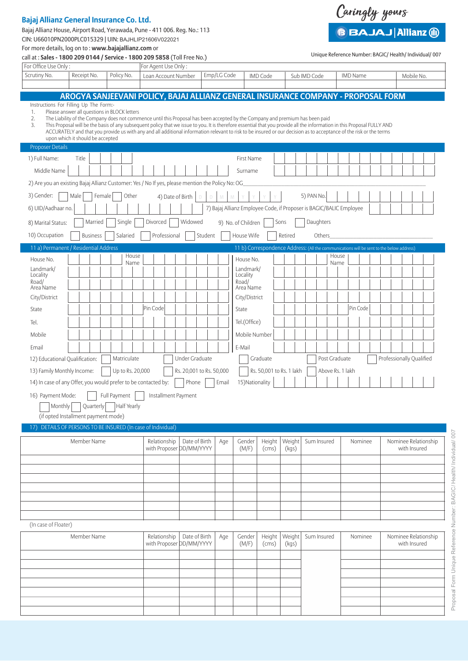### **Bajaj Allianz General Insurance Co. Ltd.**

Bajaj Allianz House, Airport Road, Yerawada, Pune - 411 006. Reg. No.: 113 CIN: U66010PN2000PLC015329 | UIN: BAJHLIP21606V022021



For more details, log on to : **www.bajajallianz.com** or call at : **Sales - 1800 209 0144 / Service - 1800 209 5858** (Toll Free No.)

Unique Reference Number: BAGIC/ Health/ Individual/ 007

| For Office Use Only:                                                                                            |                                                                                                                                                                                                                                                                                                                                                                                                                                                                                                                                                                                                                                                                                                     |         |            |                  |  |              |              | For Agent Use Only:      |         |                          |             |                                |                          |                 |                                                                                          |       |                 |         |  |                          |                      |
|-----------------------------------------------------------------------------------------------------------------|-----------------------------------------------------------------------------------------------------------------------------------------------------------------------------------------------------------------------------------------------------------------------------------------------------------------------------------------------------------------------------------------------------------------------------------------------------------------------------------------------------------------------------------------------------------------------------------------------------------------------------------------------------------------------------------------------------|---------|------------|------------------|--|--------------|--------------|--------------------------|---------|--------------------------|-------------|--------------------------------|--------------------------|-----------------|------------------------------------------------------------------------------------------|-------|-----------------|---------|--|--------------------------|----------------------|
| Scrutiny No.                                                                                                    | Receipt No.                                                                                                                                                                                                                                                                                                                                                                                                                                                                                                                                                                                                                                                                                         |         | Policy No. |                  |  |              |              | Loan Account Number      |         |                          | Emp/LG Code |                                | <b>IMD Code</b>          |                 | Sub IMD Code                                                                             |       | <b>IMD Name</b> |         |  | Mobile No.               |                      |
|                                                                                                                 |                                                                                                                                                                                                                                                                                                                                                                                                                                                                                                                                                                                                                                                                                                     |         |            |                  |  |              |              |                          |         |                          |             |                                |                          |                 |                                                                                          |       |                 |         |  |                          |                      |
| 1.<br>2.<br>3.                                                                                                  | AROGYA SANJEEVANI POLICY, BAJAJ ALLIANZ GENERAL INSURANCE COMPANY - PROPOSAL FORM<br>Instructions For Filling Up The Form:-<br>Please answer all questions in BLOCK letters<br>The Liability of the Company does not commence until this Proposal has been accepted by the Company and premium has been paid<br>This Proposal will be the basis of any subsequent policy that we issue to you. It is therefore essential that you provide all the information in this Proposal FULLY AND<br>ACCURATELY and that you provide us with any and all additional information relevant to risk to be insured or our decision as to acceptance of the risk or the terms<br>upon which it should be accepted |         |            |                  |  |              |              |                          |         |                          |             |                                |                          |                 |                                                                                          |       |                 |         |  |                          |                      |
| <b>Proposer Details</b>                                                                                         |                                                                                                                                                                                                                                                                                                                                                                                                                                                                                                                                                                                                                                                                                                     |         |            |                  |  |              |              |                          |         |                          |             |                                |                          |                 |                                                                                          |       |                 |         |  |                          |                      |
| 1) Full Name:                                                                                                   | Title                                                                                                                                                                                                                                                                                                                                                                                                                                                                                                                                                                                                                                                                                               |         |            |                  |  |              |              |                          |         |                          |             | First Name                     |                          |                 |                                                                                          |       |                 |         |  |                          |                      |
| Middle Name<br>2) Are you an existing Bajaj Allianz Customer: Yes / No If yes, please mention the Policy No: OG |                                                                                                                                                                                                                                                                                                                                                                                                                                                                                                                                                                                                                                                                                                     |         |            |                  |  |              |              |                          |         |                          |             | Surname                        |                          |                 |                                                                                          |       |                 |         |  |                          |                      |
| 3) Gender:                                                                                                      | Male                                                                                                                                                                                                                                                                                                                                                                                                                                                                                                                                                                                                                                                                                                | Female  |            | Other            |  |              |              |                          |         |                          |             |                                |                          |                 | 5) PAN No.                                                                               |       |                 |         |  |                          |                      |
| 6) UID/Aadhaar no.                                                                                              |                                                                                                                                                                                                                                                                                                                                                                                                                                                                                                                                                                                                                                                                                                     |         |            |                  |  |              |              | 4) Date of Birth         |         |                          |             |                                |                          |                 | 7) Bajaj Allianz Employee Code, if Proposer is BAGIC/BALIC Employee                      |       |                 |         |  |                          |                      |
| 8) Marital Status:                                                                                              |                                                                                                                                                                                                                                                                                                                                                                                                                                                                                                                                                                                                                                                                                                     | Married |            | Single           |  | Divorced     |              |                          | Widowed |                          |             | 9) No. of Children             |                          | Sons            | Daughters                                                                                |       |                 |         |  |                          |                      |
| 10) Occupation                                                                                                  | <b>Business</b>                                                                                                                                                                                                                                                                                                                                                                                                                                                                                                                                                                                                                                                                                     |         |            | Salaried         |  |              | Professional |                          |         | Student                  |             | House Wife                     |                          | Retired         | Others                                                                                   |       |                 |         |  |                          |                      |
| 11 a) Permanent / Residential Address                                                                           |                                                                                                                                                                                                                                                                                                                                                                                                                                                                                                                                                                                                                                                                                                     |         |            |                  |  |              |              |                          |         |                          |             |                                |                          |                 | 11 b) Correspondence Address: (All the communications will be sent to the below address) |       |                 |         |  |                          |                      |
| House No.                                                                                                       |                                                                                                                                                                                                                                                                                                                                                                                                                                                                                                                                                                                                                                                                                                     |         |            | House            |  |              |              |                          |         |                          |             | House No.                      |                          |                 |                                                                                          | House |                 |         |  |                          |                      |
| Landmark/                                                                                                       |                                                                                                                                                                                                                                                                                                                                                                                                                                                                                                                                                                                                                                                                                                     |         |            | Name             |  |              |              |                          |         |                          |             | Landmark/                      |                          |                 |                                                                                          | Name  |                 |         |  |                          |                      |
| Locality<br>Road/<br>Area Name                                                                                  |                                                                                                                                                                                                                                                                                                                                                                                                                                                                                                                                                                                                                                                                                                     |         |            |                  |  |              |              |                          |         |                          |             | Locality<br>Road/<br>Area Name |                          |                 |                                                                                          |       |                 |         |  |                          |                      |
| City/District                                                                                                   |                                                                                                                                                                                                                                                                                                                                                                                                                                                                                                                                                                                                                                                                                                     |         |            |                  |  |              |              |                          |         |                          |             | City/District                  |                          |                 |                                                                                          |       |                 |         |  |                          |                      |
| State                                                                                                           |                                                                                                                                                                                                                                                                                                                                                                                                                                                                                                                                                                                                                                                                                                     |         |            |                  |  | Pin Code     |              |                          |         |                          |             | State                          |                          |                 |                                                                                          |       | Pin Code        |         |  |                          |                      |
| Tel.                                                                                                            |                                                                                                                                                                                                                                                                                                                                                                                                                                                                                                                                                                                                                                                                                                     |         |            |                  |  |              |              |                          |         |                          |             | Tel.(Office)                   |                          |                 |                                                                                          |       |                 |         |  |                          |                      |
| Mobile                                                                                                          |                                                                                                                                                                                                                                                                                                                                                                                                                                                                                                                                                                                                                                                                                                     |         |            |                  |  |              |              |                          |         |                          |             | Mobile Number                  |                          |                 |                                                                                          |       |                 |         |  |                          |                      |
| Email                                                                                                           |                                                                                                                                                                                                                                                                                                                                                                                                                                                                                                                                                                                                                                                                                                     |         |            |                  |  |              |              |                          |         |                          |             | E-Mail                         |                          |                 |                                                                                          |       |                 |         |  |                          |                      |
| 12) Educational Qualification:                                                                                  |                                                                                                                                                                                                                                                                                                                                                                                                                                                                                                                                                                                                                                                                                                     |         |            | Matriculate      |  |              |              |                          |         | Under Graduate           |             |                                | Graduate                 |                 | Post Graduate                                                                            |       |                 |         |  | Professionally Qualified |                      |
| 13) Family Monthly Income:                                                                                      |                                                                                                                                                                                                                                                                                                                                                                                                                                                                                                                                                                                                                                                                                                     |         |            | Up to Rs. 20,000 |  |              |              |                          |         | Rs. 20,001 to Rs. 50,000 |             |                                | Rs. 50,001 to Rs. 1 lakh |                 | Above Rs. 1 lakh                                                                         |       |                 |         |  |                          |                      |
| 17)                                                                                                             | 14) In case of any Offer, you would prefer to be contacted by:<br>Phone<br>15) Nationality<br>Email<br>Full Payment<br>Installment Payment<br>16) Payment Mode:<br>Half Yearly<br>Monthly<br>Quarterly<br>(if opted Installment payment mode)<br>DETAILS OF PERSONS TO BE INSURED (In case of Individual)                                                                                                                                                                                                                                                                                                                                                                                           |         |            |                  |  |              |              |                          |         |                          |             |                                |                          |                 |                                                                                          |       |                 |         |  |                          |                      |
|                                                                                                                 | Member Name                                                                                                                                                                                                                                                                                                                                                                                                                                                                                                                                                                                                                                                                                         |         |            |                  |  | Relationship |              | with Proposer DD/MM/YYYY |         | Date of Birth            | Age         | Gender<br>(M/F)                | Height<br>$\text{(cms)}$ | Weight<br>(kgs) | Sum Insured                                                                              |       |                 | Nominee |  | with Insured             | Nominee Relationship |
|                                                                                                                 |                                                                                                                                                                                                                                                                                                                                                                                                                                                                                                                                                                                                                                                                                                     |         |            |                  |  |              |              |                          |         |                          |             |                                |                          |                 |                                                                                          |       |                 |         |  |                          |                      |
|                                                                                                                 |                                                                                                                                                                                                                                                                                                                                                                                                                                                                                                                                                                                                                                                                                                     |         |            |                  |  |              |              |                          |         |                          |             |                                |                          |                 |                                                                                          |       |                 |         |  |                          |                      |
|                                                                                                                 |                                                                                                                                                                                                                                                                                                                                                                                                                                                                                                                                                                                                                                                                                                     |         |            |                  |  |              |              |                          |         |                          |             |                                |                          |                 |                                                                                          |       |                 |         |  |                          |                      |
|                                                                                                                 |                                                                                                                                                                                                                                                                                                                                                                                                                                                                                                                                                                                                                                                                                                     |         |            |                  |  |              |              |                          |         |                          |             |                                |                          |                 |                                                                                          |       |                 |         |  |                          |                      |
| (In case of Floater)                                                                                            |                                                                                                                                                                                                                                                                                                                                                                                                                                                                                                                                                                                                                                                                                                     |         |            |                  |  |              |              |                          |         |                          |             |                                |                          |                 |                                                                                          |       |                 |         |  |                          |                      |
|                                                                                                                 | Member Name                                                                                                                                                                                                                                                                                                                                                                                                                                                                                                                                                                                                                                                                                         |         |            |                  |  | Relationship |              |                          |         | Date of Birth            |             | Gender                         | Height                   | Weight          | Sum Insured                                                                              |       |                 |         |  |                          | Nominee Relationship |
|                                                                                                                 |                                                                                                                                                                                                                                                                                                                                                                                                                                                                                                                                                                                                                                                                                                     |         |            |                  |  |              |              | with Proposer DD/MM/YYYY |         |                          | Age         | (M/F)                          | (cms)                    | (kgs)           |                                                                                          |       |                 | Nominee |  | with Insured             |                      |
|                                                                                                                 |                                                                                                                                                                                                                                                                                                                                                                                                                                                                                                                                                                                                                                                                                                     |         |            |                  |  |              |              |                          |         |                          |             |                                |                          |                 |                                                                                          |       |                 |         |  |                          |                      |
|                                                                                                                 |                                                                                                                                                                                                                                                                                                                                                                                                                                                                                                                                                                                                                                                                                                     |         |            |                  |  |              |              |                          |         |                          |             |                                |                          |                 |                                                                                          |       |                 |         |  |                          |                      |
|                                                                                                                 |                                                                                                                                                                                                                                                                                                                                                                                                                                                                                                                                                                                                                                                                                                     |         |            |                  |  |              |              |                          |         |                          |             |                                |                          |                 |                                                                                          |       |                 |         |  |                          |                      |
|                                                                                                                 |                                                                                                                                                                                                                                                                                                                                                                                                                                                                                                                                                                                                                                                                                                     |         |            |                  |  |              |              |                          |         |                          |             |                                |                          |                 |                                                                                          |       |                 |         |  |                          |                      |
|                                                                                                                 |                                                                                                                                                                                                                                                                                                                                                                                                                                                                                                                                                                                                                                                                                                     |         |            |                  |  |              |              |                          |         |                          |             |                                |                          |                 |                                                                                          |       |                 |         |  |                          |                      |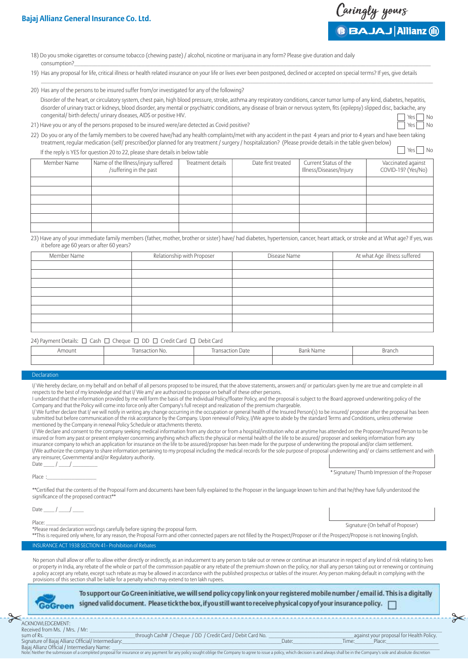

 $\sqrt{\frac{1}{1}}$  Yes  $\sqrt{\frac{1}{1}}$  No

18) Do you smoke cigarettes or consume tobacco (chewing paste) / alcohol, nicotine or marijuana in any form? Please give duration and daily  $\mathsf{consumption?}\color{blue} \overbrace{\color{blue} \text{consum} \color{blue} \text{max} \color{blue} \text{sum} \color{blue} \text{max} \color{blue} \text{max} \color{blue} \text{max} \color{blue} \text{max} \color{blue} \text{max} \color{blue} \text{max} \color{blue} \text{max} \color{blue} \text{max} \color{blue} \text{max} \color{blue} \text{max} \color{blue} \text{max} \color{blue} \text{max} \color{blue} \text{max} \color{blue} \text{max} \color{blue} \text{max} \color{blue} \text{max} \color{blue} \text{max} \color{blue$ 

19) Has any proposal for life, critical illness or health related insurance on your life or lives ever been postponed, declined or accepted on special terms? If yes, give details

| 20) Has any of the persons to be insured suffer from/or investigated for any of the following? |  |  |  |  |  |
|------------------------------------------------------------------------------------------------|--|--|--|--|--|
|                                                                                                |  |  |  |  |  |
|                                                                                                |  |  |  |  |  |

Disorder of the heart, or circulatory system, chest pain, high blood pressure, stroke, asthma any respiratory conditions, cancer tumor lump of any kind, diabetes, hepatitis, disorder of urinary tract or kidneys, blood disorder, any mental or psychiatric conditions, any disease of brain or nervous system, fits (epilepsy) slipped disc, backache, any congenital/ birth defects/ urinary diseases, AIDS or positive HIV.  $Yes$  No

 $\_$  , and the set of the set of the set of the set of the set of the set of the set of the set of the set of the set of the set of the set of the set of the set of the set of the set of the set of the set of the set of th

21) Have you or any of the persons proposed to be insured were/are detected as Covid positive?

22) Do you or any of the family members to be covered have/had any health complaints/met with any accident in the past 4 years and prior to 4 years and have been taking treatment, regular medication (self/ prescribed)or planned for any treatment / surgery / hospitalization? (Please provide details in the table given below) If the reply is YES for question 20 to 22, please share details in below table  $\Box$  Yes  $\Box$  No

| Member Name | Name of the Illness/injury suffered<br>/suffering in the past | Treatment details | Date first treated | Current Status of the<br>Illness/Diseases/Injury | Vaccinated against<br>COVID-19? (Yes/No) |
|-------------|---------------------------------------------------------------|-------------------|--------------------|--------------------------------------------------|------------------------------------------|
|             |                                                               |                   |                    |                                                  |                                          |
|             |                                                               |                   |                    |                                                  |                                          |
|             |                                                               |                   |                    |                                                  |                                          |
|             |                                                               |                   |                    |                                                  |                                          |
|             |                                                               |                   |                    |                                                  |                                          |
|             |                                                               |                   |                    |                                                  |                                          |

23) Have any of your immediate family members (father, mother, brother or sister) have/ had diabetes, hypertension, cancer, heart attack, or stroke and at What age? If yes, was it before age 60 years or after 60 years?

| Member Name | Relationship with Proposer | Disease Name | At what Age illness suffered |
|-------------|----------------------------|--------------|------------------------------|
|             |                            |              |                              |
|             |                            |              |                              |
|             |                            |              |                              |
|             |                            |              |                              |
|             |                            |              |                              |
|             |                            |              |                              |
|             |                            |              |                              |
|             |                            |              |                              |

#### 24) Payment Details:  $\Box$  Cash  $\Box$  Cheque  $\Box$  DD  $\Box$  Credit Card  $\Box$  Debit Card

| Amount | uuttivu. | Jafr | $1 - 1$<br>r Name<br>5dHK | Branch |
|--------|----------|------|---------------------------|--------|
|        |          |      |                           |        |

#### Declaration

I/ We hereby declare, on my behalf and on behalf of all persons proposed to be insured, that the above statements, answers and/ or particulars given by me are true and complete in all respects to the best of my knowledge and that I/ We am/ are authorized to propose on behalf of these other persons.

I understand that the information provided by me will form the basis of the Individual Policy/floater Policy, and the proposal is subject to the Board approved underwriting policy of the Company and that the Policy will come into force only after Company's full receipt and realization of the premium chargeable.

I/ We further declare that I/ we will notify in writing any change occurring in the occupation or general health of the Insured Person(s) to be insured/ proposer after the proposal has been submitted but before communication of the risk acceptance by the Company. Upon renewal of Policy, I/We agree to abide by the standard Terms and Conditions, unless otherwise mentioned by the Company in renewal Policy Schedule or attachments thereto.

I/ We declare and consent to the company seeking medical information from any doctor or from a hospital/institution who at anytime has attended on the Proposer/Insured Person to be I/We authorize the company to share information pertaining to my proposal including the medical records for the sole purpose of proposal underwriting and/ or claims settlement and with any reinsurer, Governmental and/or Regulatory authority. insured or from any past or present employer concerning anything which affects the physical or mental health of the life to be assured/ proposer and seeking information from any insurance company to which an application for insurance on the life to be assured/proposer has been made for the purpose of underwriting the proposal and/or claim settlement.

Date \_\_\_\_ / \_\_\_\_/ \_\_\_\_\_\_\_\_\_

\* Signature/ Thumb Impression of the Proposer

\*\*Certified that the contents of the Proposal Form and documents have been fully explained to the Proposer in the language known to him and that he/they have fully understood the significance of the proposed contract\*

Date

Place: \_\_\_\_\_\_\_\_\_\_\_\_\_\_\_\_\_\_

Place :

\*Please read declaration wordings carefully before signing the proposal form.

Signature (On behalf of Proposer)

 $INSI$  IRANCE ACT 1938 SECTION  $\Delta$ 1. Prohibiti \*\*This is required only where, for any reason, the Proposal Form and other connected papers are not filled by the Prospect/Proposer or if the Prospect/Propose is not knowing English.

No person shall allow or offer to allow either directly or indirectly, as an inducement to any person to take out or renew or continue an insurance in respect of any kind of risk relating to lives or property in India, any rebate of the whole or part of the commission payable or any rebate of the premium shown on the policy, nor shall any person taking out or renewing or continuing a policy accept any rebate, except such rebate as may be allowed in accordance with the published prospectus or tables of the insurer. Any person making default in complying with the provisions of this section shall be liable for a penalty which may extend to ten lakh rupees.

To support our Go Green initiative, we will send policy copy link on your registered mobile number / email id. This is a digitally signed valid document. Please tick the box, if you still want to receive physical copy of your insurance policy. GoGreen

| Q |                                                   |                                                                                                                                                                                                                                |       |                                           |  |
|---|---------------------------------------------------|--------------------------------------------------------------------------------------------------------------------------------------------------------------------------------------------------------------------------------|-------|-------------------------------------------|--|
|   |                                                   |                                                                                                                                                                                                                                |       |                                           |  |
| σ | ACKNOWLEDGEMENT:                                  |                                                                                                                                                                                                                                |       |                                           |  |
|   | Received from Ms. / Mrs. / Mr:                    |                                                                                                                                                                                                                                |       |                                           |  |
|   | sum of Rs.                                        | _through Cash# / Cheque / DD / Credit Card / Debit Card No.                                                                                                                                                                    |       | _against your proposal for Health Policy. |  |
|   | Signature of Bajaj Allianz Official/Intermediary: |                                                                                                                                                                                                                                | Date: | Place:<br>Time:                           |  |
|   | Bajaj Allianz Official / Intermediary Name:       |                                                                                                                                                                                                                                |       |                                           |  |
|   |                                                   | Note: Neither the submission of a completed proposal for insurance or any payment for any policy sought oblige the Company to agree to issue a policy, which decision is and always shall be in the Company's sole and absolut |       |                                           |  |